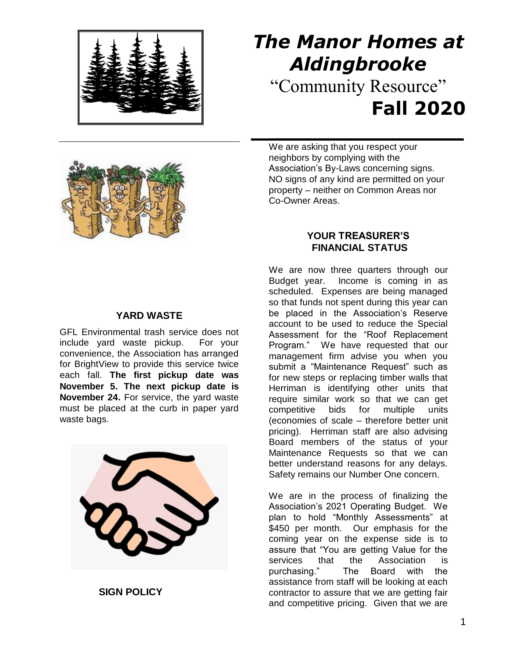

# *The Manor Homes at Aldingbrooke* "Community Resource" **Fall 2020**

#### **YARD WASTE**

GFL Environmental trash service does not include yard waste pickup. For your convenience, the Association has arranged for BrightView to provide this service twice each fall. **The first pickup date was November 5. The next pickup date is November 24.** For service, the yard waste must be placed at the curb in paper yard waste bags.



 **SIGN POLICY**

We are asking that you respect your neighbors by complying with the Association's By-Laws concerning signs. NO signs of any kind are permitted on your property – neither on Common Areas nor Co-Owner Areas.

 **\_\_\_\_\_\_\_\_\_\_\_\_\_\_\_**

## **YOUR TREASURER'S FINANCIAL STATUS**

We are now three quarters through our Budget year. Income is coming in as scheduled. Expenses are being managed so that funds not spent during this year can be placed in the Association's Reserve account to be used to reduce the Special Assessment for the "Roof Replacement Program." We have requested that our management firm advise you when you submit a "Maintenance Request" such as for new steps or replacing timber walls that Herriman is identifying other units that require similar work so that we can get competitive bids for multiple units (economies of scale – therefore better unit pricing). Herriman staff are also advising Board members of the status of your Maintenance Requests so that we can better understand reasons for any delays. Safety remains our Number One concern.

We are in the process of finalizing the Association's 2021 Operating Budget. We plan to hold "Monthly Assessments" at \$450 per month. Our emphasis for the coming year on the expense side is to assure that "You are getting Value for the services that the Association is purchasing." The Board with the assistance from staff will be looking at each contractor to assure that we are getting fair and competitive pricing. Given that we are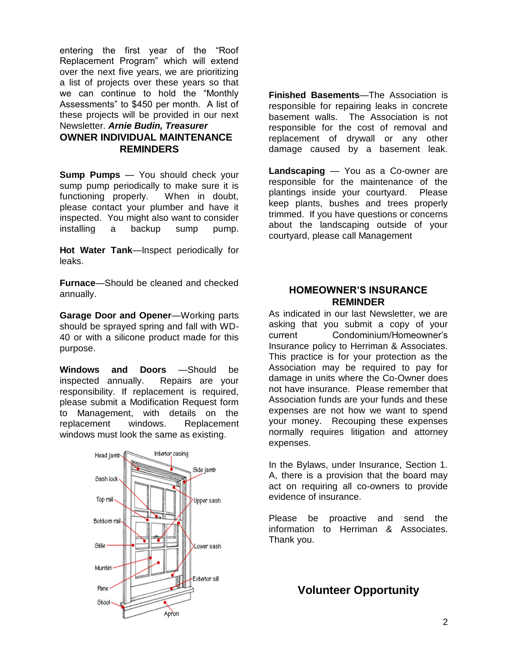entering the first year of the "Roof Replacement Program" which will extend over the next five years, we are prioritizing a list of projects over these years so that we can continue to hold the "Monthly Assessments" to \$450 per month. A list of these projects will be provided in our next Newsletter. *Arnie Budin, Treasurer*

## **OWNER INDIVIDUAL MAINTENANCE REMINDERS**

**Sump Pumps** — You should check your sump pump periodically to make sure it is functioning properly. When in doubt, please contact your plumber and have it inspected. You might also want to consider installing a backup sump pump.

**Hot Water Tank**—Inspect periodically for leaks.

**Furnace**—Should be cleaned and checked annually.

**Garage Door and Opener**—Working parts should be sprayed spring and fall with WD-40 or with a silicone product made for this purpose.

**Windows and Doors** —Should be inspected annually. Repairs are your responsibility. If replacement is required, please submit a Modification Request form to Management, with details on the replacement windows. Replacement windows must look the same as existing.



**Finished Basements**—The Association is responsible for repairing leaks in concrete basement walls. The Association is not responsible for the cost of removal and replacement of drywall or any other damage caused by a basement leak.

**Landscaping** — You as a Co-owner are responsible for the maintenance of the plantings inside your courtyard. Please keep plants, bushes and trees properly trimmed. If you have questions or concerns about the landscaping outside of your courtyard, please call Management

#### **HOMEOWNER'S INSURANCE REMINDER**

As indicated in our last Newsletter, we are asking that you submit a copy of your current Condominium/Homeowner's Insurance policy to Herriman & Associates. This practice is for your protection as the Association may be required to pay for damage in units where the Co-Owner does not have insurance. Please remember that Association funds are your funds and these expenses are not how we want to spend your money. Recouping these expenses normally requires litigation and attorney expenses.

In the Bylaws, under Insurance, Section 1. A, there is a provision that the board may act on requiring all co-owners to provide evidence of insurance.

Please be proactive and send the information to Herriman & Associates. Thank you.

# **Volunteer Opportunity**